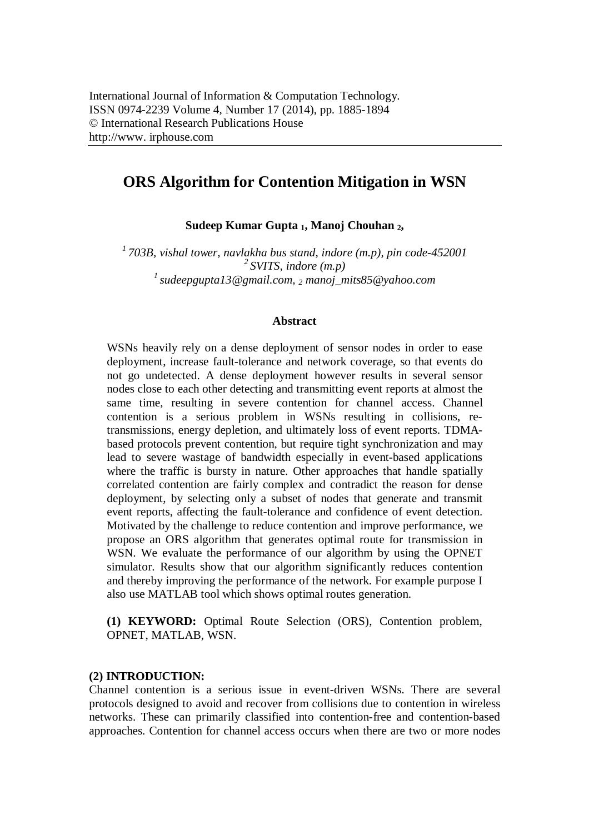# **ORS Algorithm for Contention Mitigation in WSN**

**Sudeep Kumar Gupta 1, Manoj Chouhan 2,**

*<sup>1</sup>703B, vishal tower, navlakha bus stand, indore (m.p), pin code-452001 <sup>2</sup>SVITS, indore (m.p) <sup>1</sup>sudeepgupta13@gmail.com, <sup>2</sup> manoj\_mits85@yahoo.com*

#### **Abstract**

WSNs heavily rely on a dense deployment of sensor nodes in order to ease deployment, increase fault-tolerance and network coverage, so that events do not go undetected. A dense deployment however results in several sensor nodes close to each other detecting and transmitting event reports at almost the same time, resulting in severe contention for channel access. Channel contention is a serious problem in WSNs resulting in collisions, retransmissions, energy depletion, and ultimately loss of event reports. TDMAbased protocols prevent contention, but require tight synchronization and may lead to severe wastage of bandwidth especially in event-based applications where the traffic is bursty in nature. Other approaches that handle spatially correlated contention are fairly complex and contradict the reason for dense deployment, by selecting only a subset of nodes that generate and transmit event reports, affecting the fault-tolerance and confidence of event detection. Motivated by the challenge to reduce contention and improve performance, we propose an ORS algorithm that generates optimal route for transmission in WSN. We evaluate the performance of our algorithm by using the OPNET simulator. Results show that our algorithm significantly reduces contention and thereby improving the performance of the network. For example purpose I also use MATLAB tool which shows optimal routes generation.

**(1) KEYWORD:** Optimal Route Selection (ORS), Contention problem, OPNET, MATLAB, WSN.

#### **(2) INTRODUCTION:**

Channel contention is a serious issue in event-driven WSNs. There are several protocols designed to avoid and recover from collisions due to contention in wireless networks. These can primarily classified into contention-free and contention-based approaches. Contention for channel access occurs when there are two or more nodes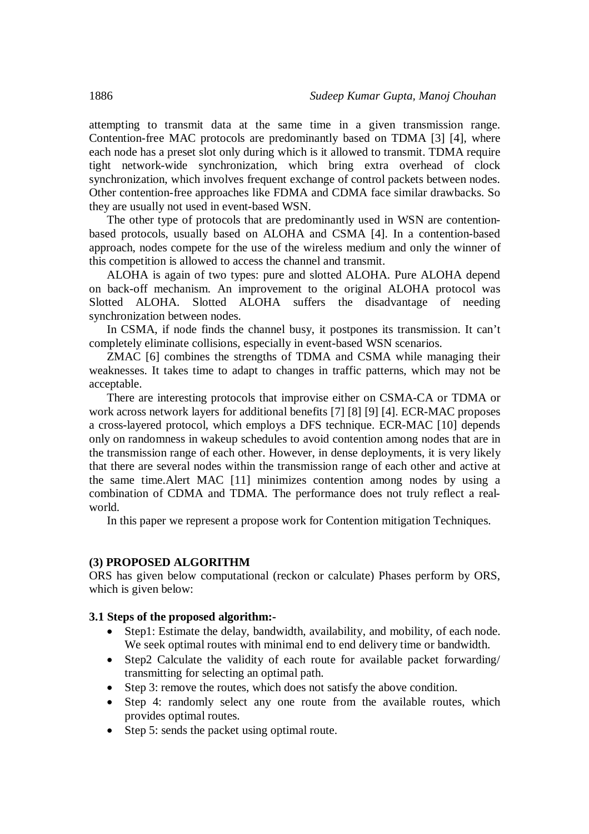attempting to transmit data at the same time in a given transmission range. Contention-free MAC protocols are predominantly based on TDMA [3] [4], where each node has a preset slot only during which is it allowed to transmit. TDMA require tight network-wide synchronization, which bring extra overhead of clock synchronization, which involves frequent exchange of control packets between nodes. Other contention-free approaches like FDMA and CDMA face similar drawbacks. So they are usually not used in event-based WSN.

The other type of protocols that are predominantly used in WSN are contentionbased protocols, usually based on ALOHA and CSMA [4]. In a contention-based approach, nodes compete for the use of the wireless medium and only the winner of this competition is allowed to access the channel and transmit.

ALOHA is again of two types: pure and slotted ALOHA. Pure ALOHA depend on back-off mechanism. An improvement to the original ALOHA protocol was Slotted ALOHA. Slotted ALOHA suffers the disadvantage of needing synchronization between nodes.

In CSMA, if node finds the channel busy, it postpones its transmission. It can't completely eliminate collisions, especially in event-based WSN scenarios.

ZMAC [6] combines the strengths of TDMA and CSMA while managing their weaknesses. It takes time to adapt to changes in traffic patterns, which may not be acceptable.

There are interesting protocols that improvise either on CSMA-CA or TDMA or work across network layers for additional benefits [7] [8] [9] [4]. ECR-MAC proposes a cross-layered protocol, which employs a DFS technique. ECR-MAC [10] depends only on randomness in wakeup schedules to avoid contention among nodes that are in the transmission range of each other. However, in dense deployments, it is very likely that there are several nodes within the transmission range of each other and active at the same time.Alert MAC [11] minimizes contention among nodes by using a combination of CDMA and TDMA. The performance does not truly reflect a realworld.

In this paper we represent a propose work for Contention mitigation Techniques.

#### **(3) PROPOSED ALGORITHM**

ORS has given below computational (reckon or calculate) Phases perform by ORS, which is given below:

#### **3.1 Steps of the proposed algorithm:-**

- Step1: Estimate the delay, bandwidth, availability, and mobility, of each node. We seek optimal routes with minimal end to end delivery time or bandwidth.
- Step2 Calculate the validity of each route for available packet forwarding/ transmitting for selecting an optimal path.
- Step 3: remove the routes, which does not satisfy the above condition.
- Step 4: randomly select any one route from the available routes, which provides optimal routes.
- Step 5: sends the packet using optimal route.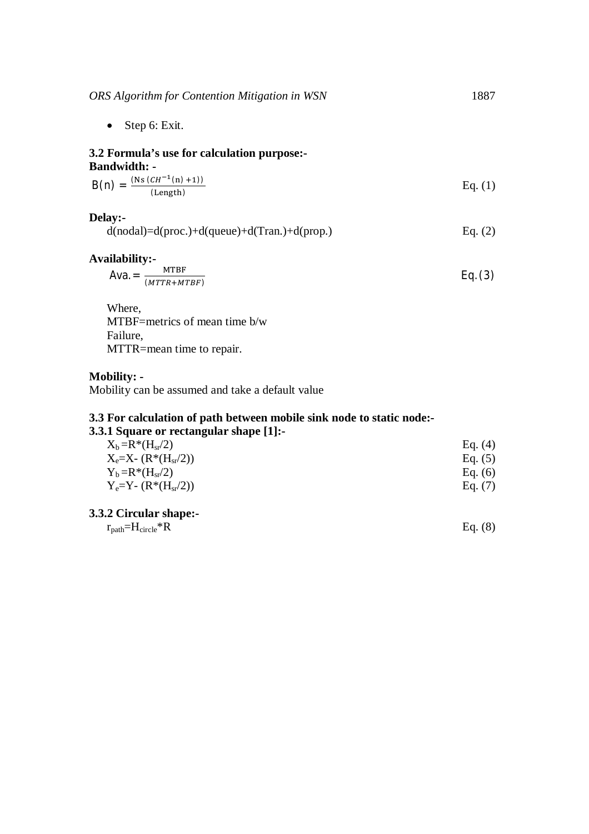| ORS Algorithm for Contention Mitigation in WSN                                                                        | 1887      |
|-----------------------------------------------------------------------------------------------------------------------|-----------|
| Step 6: Exit.<br>$\bullet$                                                                                            |           |
| 3.2 Formula's use for calculation purpose:-<br><b>Bandwidth: -</b><br>$B(n) = \frac{(Ns (CH^{-1}(n) + 1))}{(Length)}$ | Eq. $(1)$ |
| Delay:-<br>$d(nodal)=d(proc.)+d(queue)+d(Tran.)+d(prop.)$                                                             | Eq. $(2)$ |
| Availability:-<br>Ava. = $\frac{MTBF}{(MTTR+MTBF)}$                                                                   | Eq. $(3)$ |

Where, MTBF=metrics of mean time b/w Failure, MTTR=mean time to repair.

# **Mobility: -**

Mobility can be assumed and take a default value

# **3.3 For calculation of path between mobile sink node to static node:-**

**3.3.1 Square or rectangular shape [1]:-**

| $X_b = R^*(H_{sr}/2)$        | Eq. $(4)$ |
|------------------------------|-----------|
| $X_e=X-(R*(H_{sr}/2))$       | Eq. $(5)$ |
| $Y_b = R^*(H_{sr}/2)$        | Eq. $(6)$ |
| $Y_e = Y - (R * (H_{sr}/2))$ | Eq. $(7)$ |

# **3.3.2 Circular shape:-**

| Eq. $(8)$<br>$r_{\text{path}} = H_{\text{circle}}$ <sup>*</sup> R |  |  |  |
|-------------------------------------------------------------------|--|--|--|
|-------------------------------------------------------------------|--|--|--|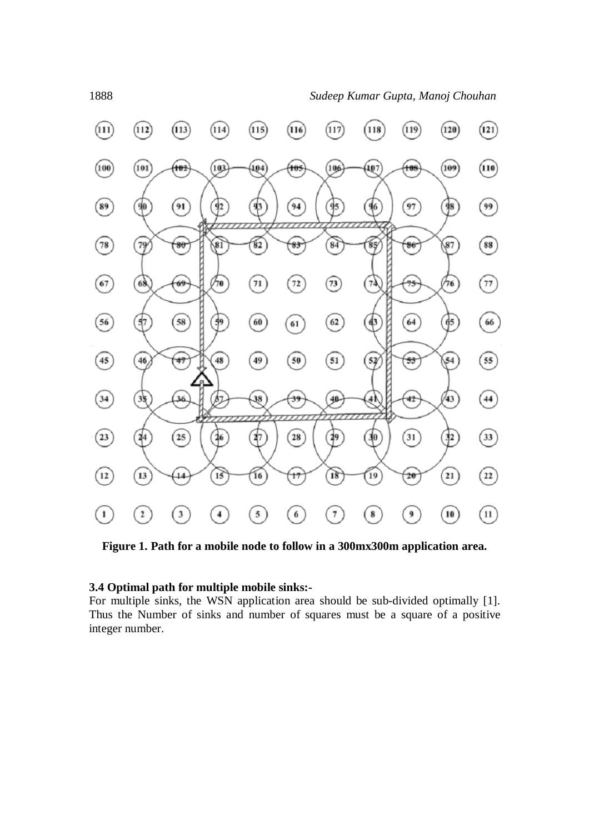

**Figure 1. Path for a mobile node to follow in a 300mx300m application area.**

#### **3.4 Optimal path for multiple mobile sinks:-**

For multiple sinks, the WSN application area should be sub-divided optimally [1]. Thus the Number of sinks and number of squares must be a square of a positive integer number.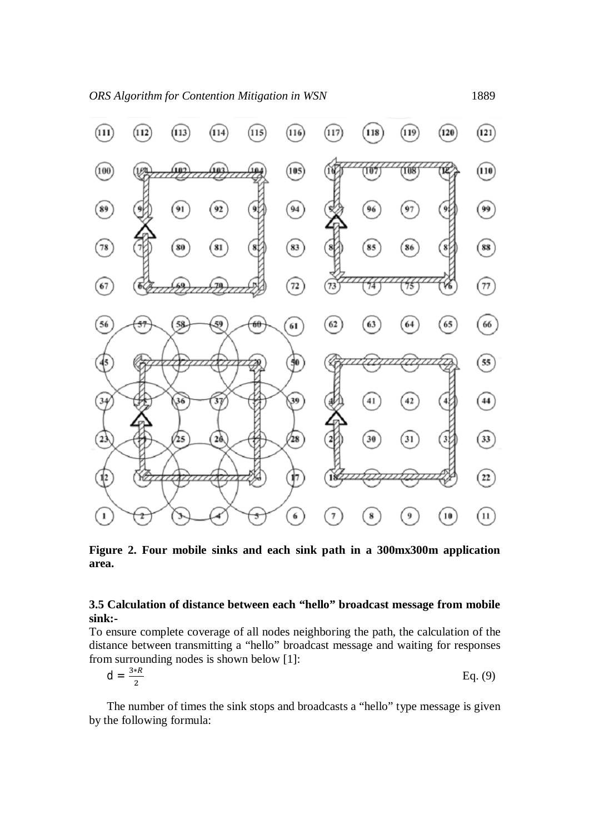

**Figure 2. Four mobile sinks and each sink path in a 300mx300m application area.**

# **3.5 Calculation of distance between each "hello" broadcast message from mobile sink:-**

To ensure complete coverage of all nodes neighboring the path, the calculation of the distance between transmitting a "hello" broadcast message and waiting for responses from surrounding nodes is shown below [1]:

$$
d = \frac{3 * R}{2}
$$
 Eq. (9)

The number of times the sink stops and broadcasts a "hello" type message is given by the following formula: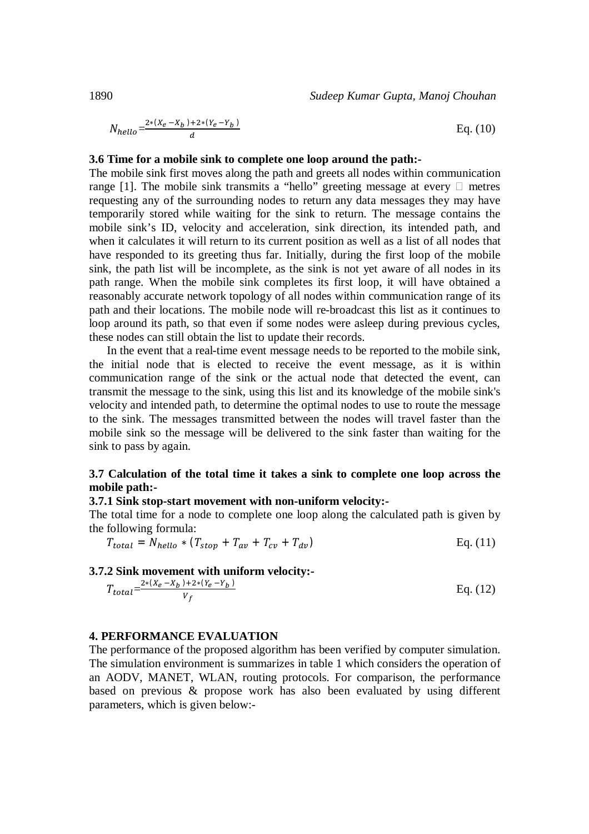$$
N_{hello} = \frac{2 \times (X_e - X_b) + 2 \times (Y_e - Y_b)}{d}
$$
 Eq. (10)

#### **3.6 Time for a mobile sink to complete one loop around the path:-**

The mobile sink first moves along the path and greets all nodes within communication range [1]. The mobile sink transmits a "hello" greeting message at every  $\Box$  metres requesting any of the surrounding nodes to return any data messages they may have temporarily stored while waiting for the sink to return. The message contains the mobile sink's ID, velocity and acceleration, sink direction, its intended path, and when it calculates it will return to its current position as well as a list of all nodes that have responded to its greeting thus far. Initially, during the first loop of the mobile sink, the path list will be incomplete, as the sink is not yet aware of all nodes in its path range. When the mobile sink completes its first loop, it will have obtained a reasonably accurate network topology of all nodes within communication range of its path and their locations. The mobile node will re-broadcast this list as it continues to loop around its path, so that even if some nodes were asleep during previous cycles, these nodes can still obtain the list to update their records.

In the event that a real-time event message needs to be reported to the mobile sink, the initial node that is elected to receive the event message, as it is within communication range of the sink or the actual node that detected the event, can transmit the message to the sink, using this list and its knowledge of the mobile sink's velocity and intended path, to determine the optimal nodes to use to route the message to the sink. The messages transmitted between the nodes will travel faster than the mobile sink so the message will be delivered to the sink faster than waiting for the sink to pass by again.

# **3.7 Calculation of the total time it takes a sink to complete one loop across the mobile path:-**

#### **3.7.1 Sink stop-start movement with non-uniform velocity:-**

The total time for a node to complete one loop along the calculated path is given by the following formula:

$$
T_{total} = N_{hello} * (T_{stop} + T_{av} + T_{cv} + T_{dv})
$$
 Eq. (11)

#### **3.7.2 Sink movement with uniform velocity:-**

$$
T_{total} = \frac{2 \times (X_e - X_b) + 2 \times (Y_e - Y_b)}{V_f}
$$
 Eq. (12)

#### **4. PERFORMANCE EVALUATION**

The performance of the proposed algorithm has been verified by computer simulation. The simulation environment is summarizes in table 1 which considers the operation of an AODV, MANET, WLAN, routing protocols. For comparison, the performance based on previous & propose work has also been evaluated by using different parameters, which is given below:-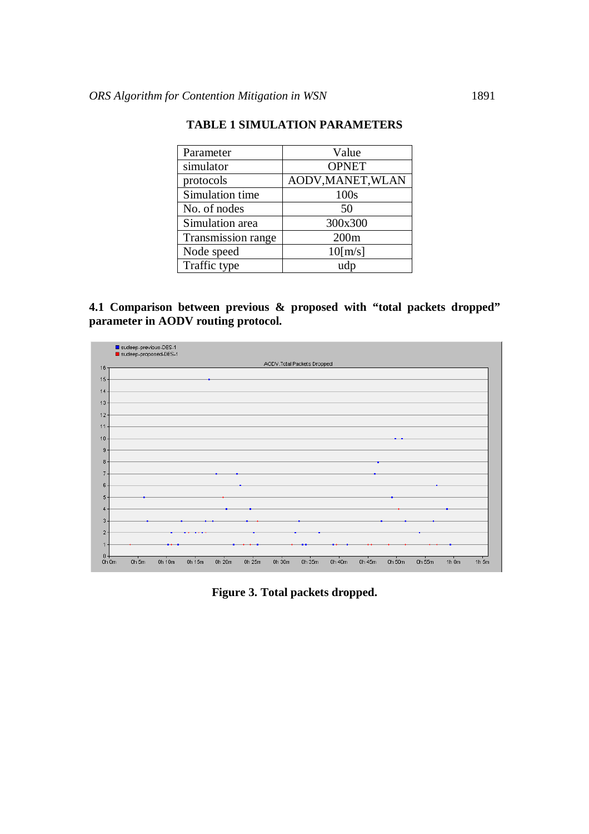| Parameter          | Value             |
|--------------------|-------------------|
| simulator          | <b>OPNET</b>      |
| protocols          | AODV, MANET, WLAN |
| Simulation time    | 100s              |
| No. of nodes       | 50                |
| Simulation area    | 300x300           |
| Transmission range | 200m              |
| Node speed         | $10$ [m/s]        |
| Traffic type       | udp               |
|                    |                   |

# **TABLE 1 SIMULATION PARAMETERS**

# **4.1 Comparison between previous & proposed with "total packets dropped" parameter in AODV routing protocol.**



**Figure 3. Total packets dropped.**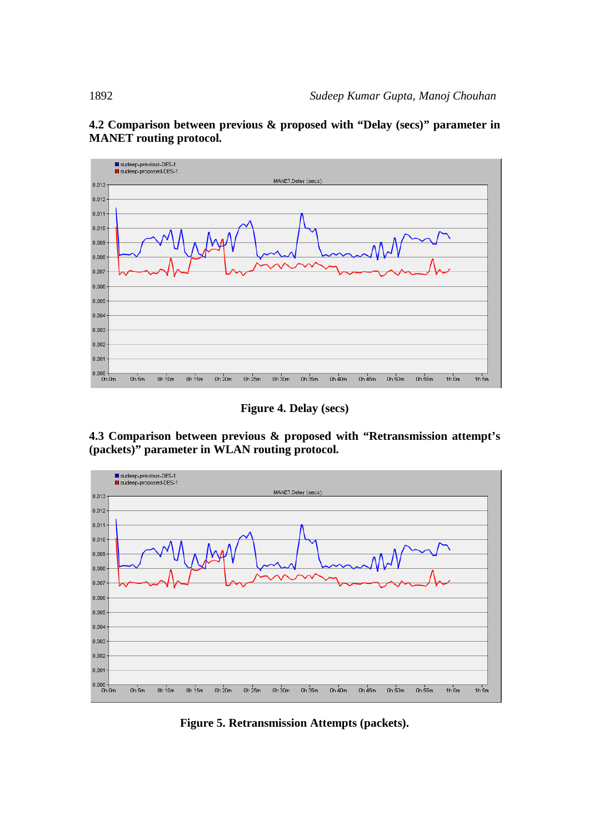

**4.2 Comparison between previous & proposed with "Delay (secs)" parameter in MANET routing protocol.**

**Figure 4. Delay (secs)**

**4.3 Comparison between previous & proposed with "Retransmission attempt's (packets)" parameter in WLAN routing protocol.**



**Figure 5. Retransmission Attempts (packets).**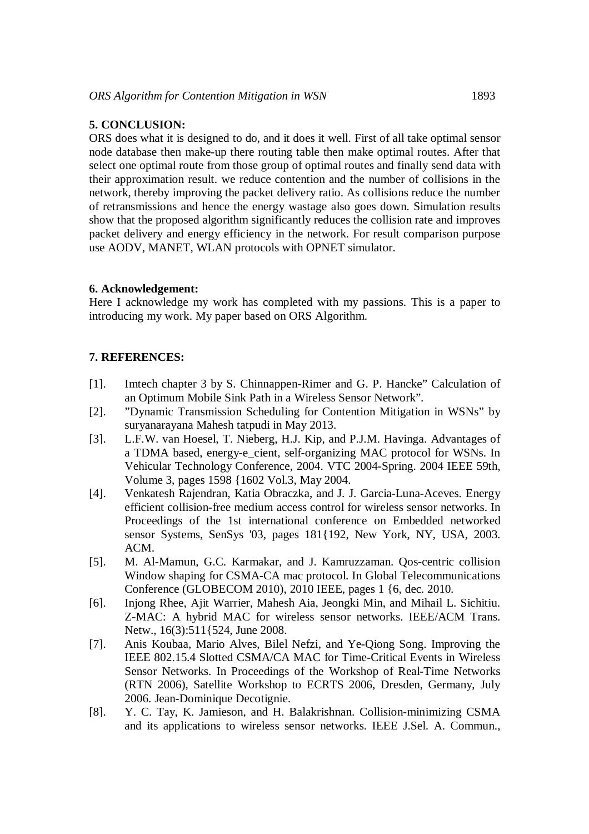#### **5. CONCLUSION:**

ORS does what it is designed to do, and it does it well. First of all take optimal sensor node database then make-up there routing table then make optimal routes. After that select one optimal route from those group of optimal routes and finally send data with their approximation result. we reduce contention and the number of collisions in the network, thereby improving the packet delivery ratio. As collisions reduce the number of retransmissions and hence the energy wastage also goes down. Simulation results show that the proposed algorithm significantly reduces the collision rate and improves packet delivery and energy efficiency in the network. For result comparison purpose use AODV, MANET, WLAN protocols with OPNET simulator.

### **6. Acknowledgement:**

Here I acknowledge my work has completed with my passions. This is a paper to introducing my work. My paper based on ORS Algorithm.

# **7. REFERENCES:**

- [1]. Imtech chapter 3 by S. Chinnappen-Rimer and G. P. Hancke" Calculation of an Optimum Mobile Sink Path in a Wireless Sensor Network".
- [2]. "Dynamic Transmission Scheduling for Contention Mitigation in WSNs" by suryanarayana Mahesh tatpudi in May 2013.
- [3]. L.F.W. van Hoesel, T. Nieberg, H.J. Kip, and P.J.M. Havinga. Advantages of a TDMA based, energy-e\_cient, self-organizing MAC protocol for WSNs. In Vehicular Technology Conference, 2004. VTC 2004-Spring. 2004 IEEE 59th, Volume 3, pages 1598 {1602 Vol.3, May 2004.
- [4]. Venkatesh Rajendran, Katia Obraczka, and J. J. Garcia-Luna-Aceves. Energy efficient collision-free medium access control for wireless sensor networks. In Proceedings of the 1st international conference on Embedded networked sensor Systems, SenSys '03, pages 181{192, New York, NY, USA, 2003. ACM.
- [5]. M. Al-Mamun, G.C. Karmakar, and J. Kamruzzaman. Qos-centric collision Window shaping for CSMA-CA mac protocol. In Global Telecommunications Conference (GLOBECOM 2010), 2010 IEEE, pages 1 {6, dec. 2010.
- [6]. Injong Rhee, Ajit Warrier, Mahesh Aia, Jeongki Min, and Mihail L. Sichitiu. Z-MAC: A hybrid MAC for wireless sensor networks. IEEE/ACM Trans. Netw., 16(3):511{524, June 2008.
- [7]. Anis Koubaa, Mario Alves, Bilel Nefzi, and Ye-Qiong Song. Improving the IEEE 802.15.4 Slotted CSMA/CA MAC for Time-Critical Events in Wireless Sensor Networks. In Proceedings of the Workshop of Real-Time Networks (RTN 2006), Satellite Workshop to ECRTS 2006, Dresden, Germany, July 2006. Jean-Dominique Decotignie.
- [8]. Y. C. Tay, K. Jamieson, and H. Balakrishnan. Collision-minimizing CSMA and its applications to wireless sensor networks. IEEE J.Sel. A. Commun.,